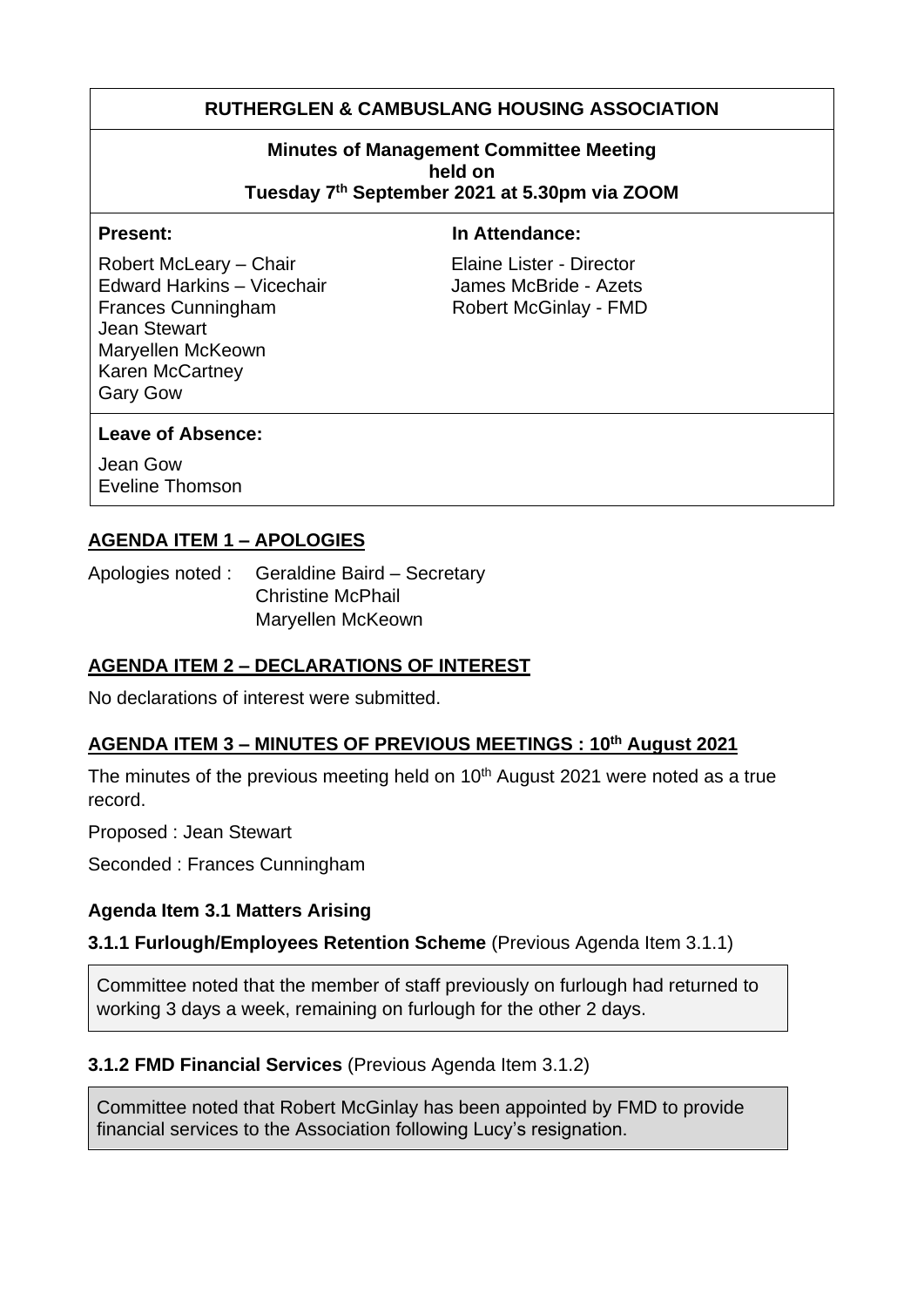# **RUTHERGLEN & CAMBUSLANG HOUSING ASSOCIATION**

#### **Minutes of Management Committee Meeting held on Tuesday 7 th September 2021 at 5.30pm via ZOOM**

Robert McLeary – Chair **Elaine Lister - Director** Edward Harkins – Vicechair James McBride - Azets Frances Cunningham Robert McGinlay - FMD Jean Stewart Maryellen McKeown Karen McCartney Gary Gow

#### **Present:** In Attendance:

#### **Leave of Absence:**

Jean Gow Eveline Thomson

## **AGENDA ITEM 1 – APOLOGIES**

Apologies noted : Geraldine Baird – Secretary Christine McPhail Maryellen McKeown

## **AGENDA ITEM 2 – DECLARATIONS OF INTEREST**

No declarations of interest were submitted.

## **AGENDA ITEM 3 – MINUTES OF PREVIOUS MEETINGS : 10th August 2021**

The minutes of the previous meeting held on  $10<sup>th</sup>$  August 2021 were noted as a true record.

Proposed : Jean Stewart

Seconded : Frances Cunningham

#### **Agenda Item 3.1 Matters Arising**

#### **3.1.1 Furlough/Employees Retention Scheme** (Previous Agenda Item 3.1.1)

Committee noted that the member of staff previously on furlough had returned to working 3 days a week, remaining on furlough for the other 2 days.

## **3.1.2 FMD Financial Services** (Previous Agenda Item 3.1.2)

Committee noted that Robert McGinlay has been appointed by FMD to provide financial services to the Association following Lucy's resignation.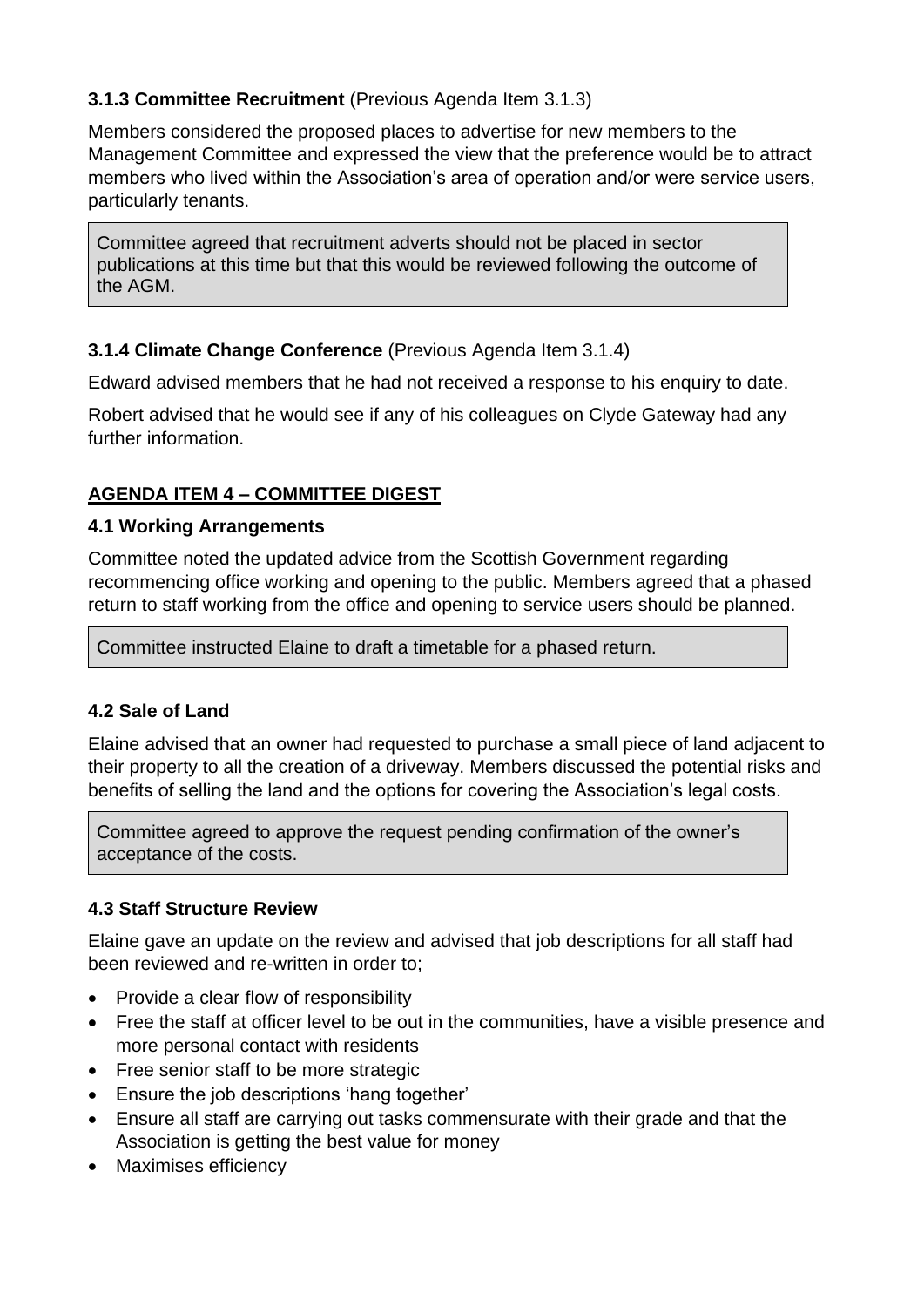## **3.1.3 Committee Recruitment** (Previous Agenda Item 3.1.3)

Members considered the proposed places to advertise for new members to the Management Committee and expressed the view that the preference would be to attract members who lived within the Association's area of operation and/or were service users, particularly tenants.

Committee agreed that recruitment adverts should not be placed in sector publications at this time but that this would be reviewed following the outcome of the AGM.

## **3.1.4 Climate Change Conference** (Previous Agenda Item 3.1.4)

Edward advised members that he had not received a response to his enquiry to date.

Robert advised that he would see if any of his colleagues on Clyde Gateway had any further information.

## **AGENDA ITEM 4 – COMMITTEE DIGEST**

#### **4.1 Working Arrangements**

Committee noted the updated advice from the Scottish Government regarding recommencing office working and opening to the public. Members agreed that a phased return to staff working from the office and opening to service users should be planned.

Committee instructed Elaine to draft a timetable for a phased return.

## **4.2 Sale of Land**

Elaine advised that an owner had requested to purchase a small piece of land adjacent to their property to all the creation of a driveway. Members discussed the potential risks and benefits of selling the land and the options for covering the Association's legal costs.

Committee agreed to approve the request pending confirmation of the owner's acceptance of the costs.

# **4.3 Staff Structure Review**

Elaine gave an update on the review and advised that job descriptions for all staff had been reviewed and re-written in order to;

- Provide a clear flow of responsibility
- Free the staff at officer level to be out in the communities, have a visible presence and more personal contact with residents
- Free senior staff to be more strategic
- Ensure the job descriptions 'hang together'
- Ensure all staff are carrying out tasks commensurate with their grade and that the Association is getting the best value for money
- Maximises efficiency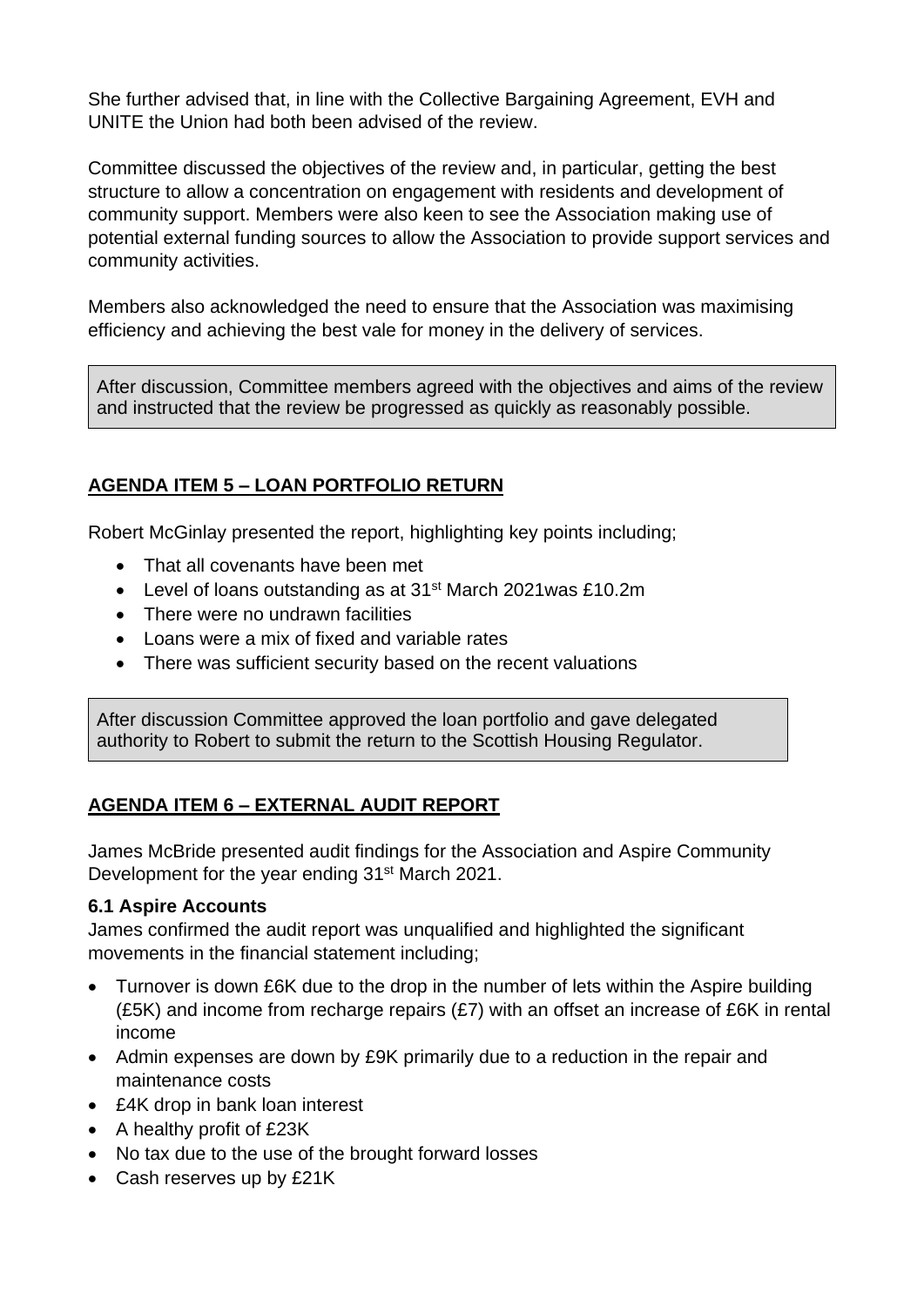She further advised that, in line with the Collective Bargaining Agreement, EVH and UNITE the Union had both been advised of the review.

Committee discussed the objectives of the review and, in particular, getting the best structure to allow a concentration on engagement with residents and development of community support. Members were also keen to see the Association making use of potential external funding sources to allow the Association to provide support services and community activities.

Members also acknowledged the need to ensure that the Association was maximising efficiency and achieving the best vale for money in the delivery of services.

After discussion, Committee members agreed with the objectives and aims of the review and instructed that the review be progressed as quickly as reasonably possible.

# **AGENDA ITEM 5 – LOAN PORTFOLIO RETURN**

Robert McGinlay presented the report, highlighting key points including;

- That all covenants have been met
- Level of loans outstanding as at 31<sup>st</sup> March 2021was £10.2m
- There were no undrawn facilities
- Loans were a mix of fixed and variable rates
- There was sufficient security based on the recent valuations

After discussion Committee approved the loan portfolio and gave delegated authority to Robert to submit the return to the Scottish Housing Regulator.

# **AGENDA ITEM 6 – EXTERNAL AUDIT REPORT**

James McBride presented audit findings for the Association and Aspire Community Development for the year ending 31<sup>st</sup> March 2021.

## **6.1 Aspire Accounts**

James confirmed the audit report was unqualified and highlighted the significant movements in the financial statement including;

- Turnover is down £6K due to the drop in the number of lets within the Aspire building (£5K) and income from recharge repairs (£7) with an offset an increase of £6K in rental income
- Admin expenses are down by £9K primarily due to a reduction in the repair and maintenance costs
- £4K drop in bank loan interest
- A healthy profit of £23K
- No tax due to the use of the brought forward losses
- Cash reserves up by £21K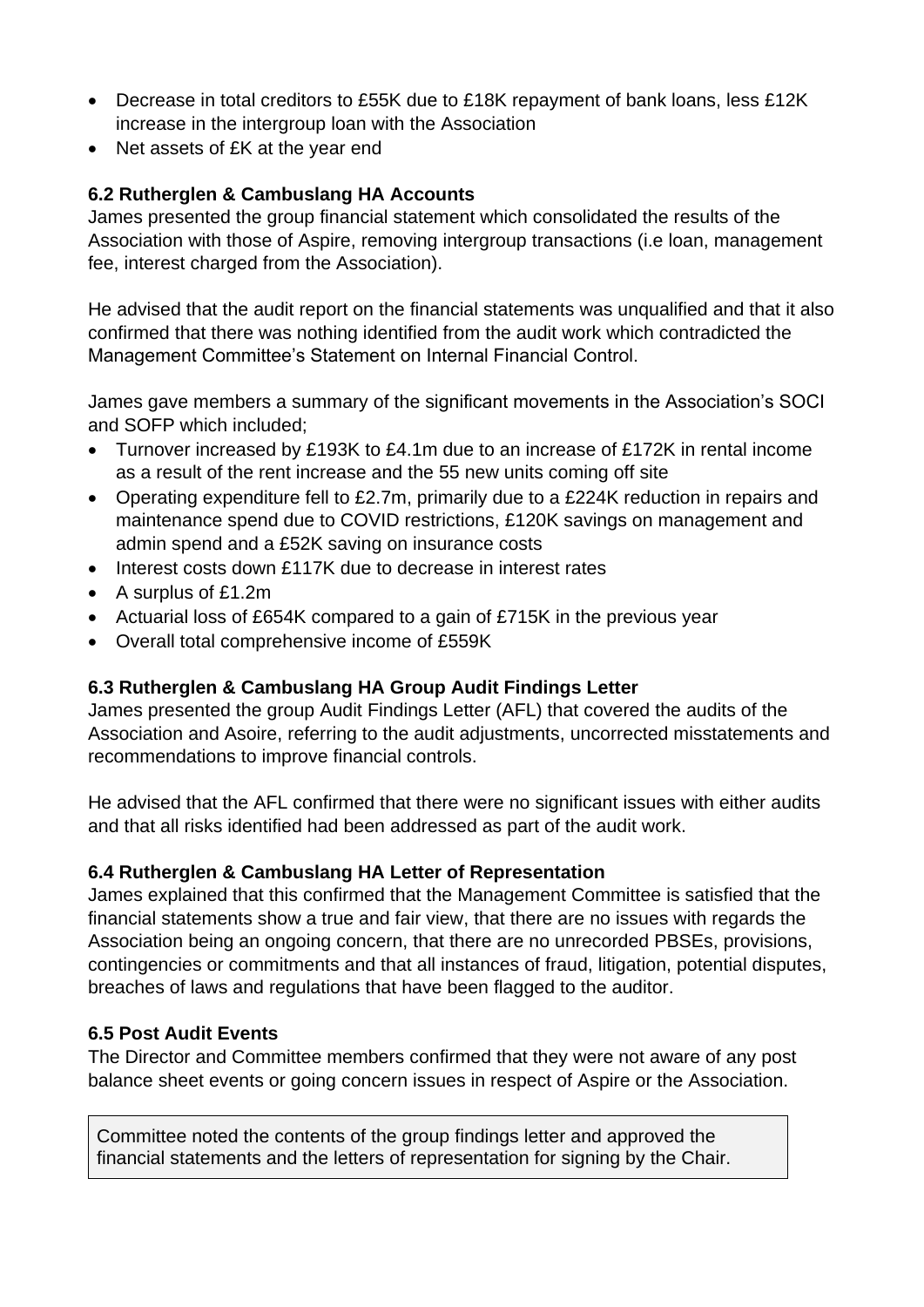- Decrease in total creditors to £55K due to £18K repayment of bank loans, less £12K increase in the intergroup loan with the Association
- Net assets of £K at the year end

## **6.2 Rutherglen & Cambuslang HA Accounts**

James presented the group financial statement which consolidated the results of the Association with those of Aspire, removing intergroup transactions (i.e loan, management fee, interest charged from the Association).

He advised that the audit report on the financial statements was unqualified and that it also confirmed that there was nothing identified from the audit work which contradicted the Management Committee's Statement on Internal Financial Control.

James gave members a summary of the significant movements in the Association's SOCI and SOFP which included;

- Turnover increased by £193K to £4.1m due to an increase of £172K in rental income as a result of the rent increase and the 55 new units coming off site
- Operating expenditure fell to £2.7m, primarily due to a £224K reduction in repairs and maintenance spend due to COVID restrictions, £120K savings on management and admin spend and a £52K saving on insurance costs
- Interest costs down £117K due to decrease in interest rates
- A surplus of £1.2m
- Actuarial loss of £654K compared to a gain of £715K in the previous year
- Overall total comprehensive income of £559K

# **6.3 Rutherglen & Cambuslang HA Group Audit Findings Letter**

James presented the group Audit Findings Letter (AFL) that covered the audits of the Association and Asoire, referring to the audit adjustments, uncorrected misstatements and recommendations to improve financial controls.

He advised that the AFL confirmed that there were no significant issues with either audits and that all risks identified had been addressed as part of the audit work.

## **6.4 Rutherglen & Cambuslang HA Letter of Representation**

James explained that this confirmed that the Management Committee is satisfied that the financial statements show a true and fair view, that there are no issues with regards the Association being an ongoing concern, that there are no unrecorded PBSEs, provisions, contingencies or commitments and that all instances of fraud, litigation, potential disputes, breaches of laws and regulations that have been flagged to the auditor.

## **6.5 Post Audit Events**

The Director and Committee members confirmed that they were not aware of any post balance sheet events or going concern issues in respect of Aspire or the Association.

Committee noted the contents of the group findings letter and approved the financial statements and the letters of representation for signing by the Chair.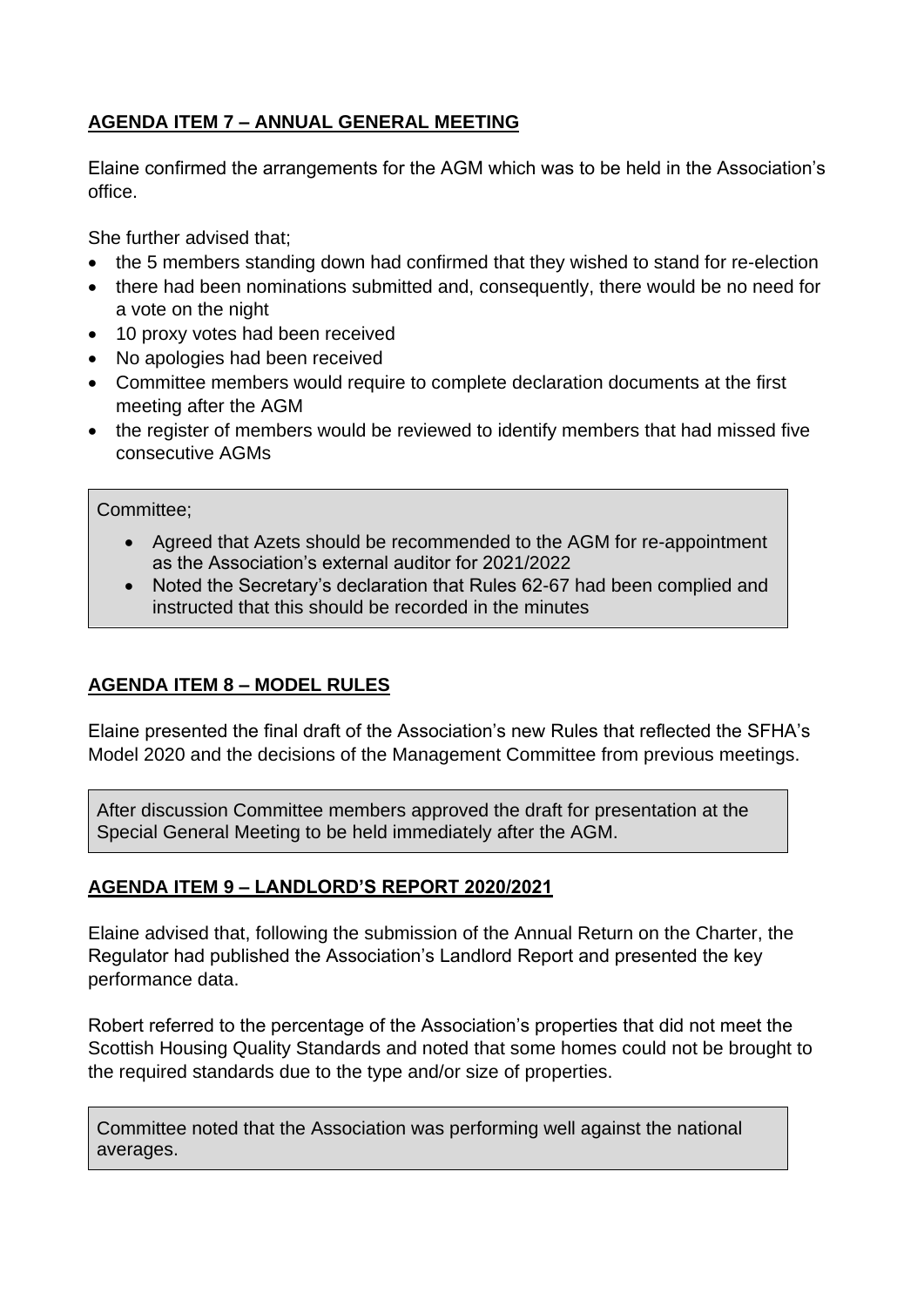# **AGENDA ITEM 7 – ANNUAL GENERAL MEETING**

Elaine confirmed the arrangements for the AGM which was to be held in the Association's office.

She further advised that;

- the 5 members standing down had confirmed that they wished to stand for re-election
- there had been nominations submitted and, consequently, there would be no need for a vote on the night
- 10 proxy votes had been received
- No apologies had been received
- Committee members would require to complete declaration documents at the first meeting after the AGM
- the register of members would be reviewed to identify members that had missed five consecutive AGMs

Committee;

- Agreed that Azets should be recommended to the AGM for re-appointment as the Association's external auditor for 2021/2022
- Noted the Secretary's declaration that Rules 62-67 had been complied and instructed that this should be recorded in the minutes

# **AGENDA ITEM 8 – MODEL RULES**

Elaine presented the final draft of the Association's new Rules that reflected the SFHA's Model 2020 and the decisions of the Management Committee from previous meetings.

After discussion Committee members approved the draft for presentation at the Special General Meeting to be held immediately after the AGM.

# **AGENDA ITEM 9 – LANDLORD'S REPORT 2020/2021**

Elaine advised that, following the submission of the Annual Return on the Charter, the Regulator had published the Association's Landlord Report and presented the key performance data.

Robert referred to the percentage of the Association's properties that did not meet the Scottish Housing Quality Standards and noted that some homes could not be brought to the required standards due to the type and/or size of properties.

Committee noted that the Association was performing well against the national averages.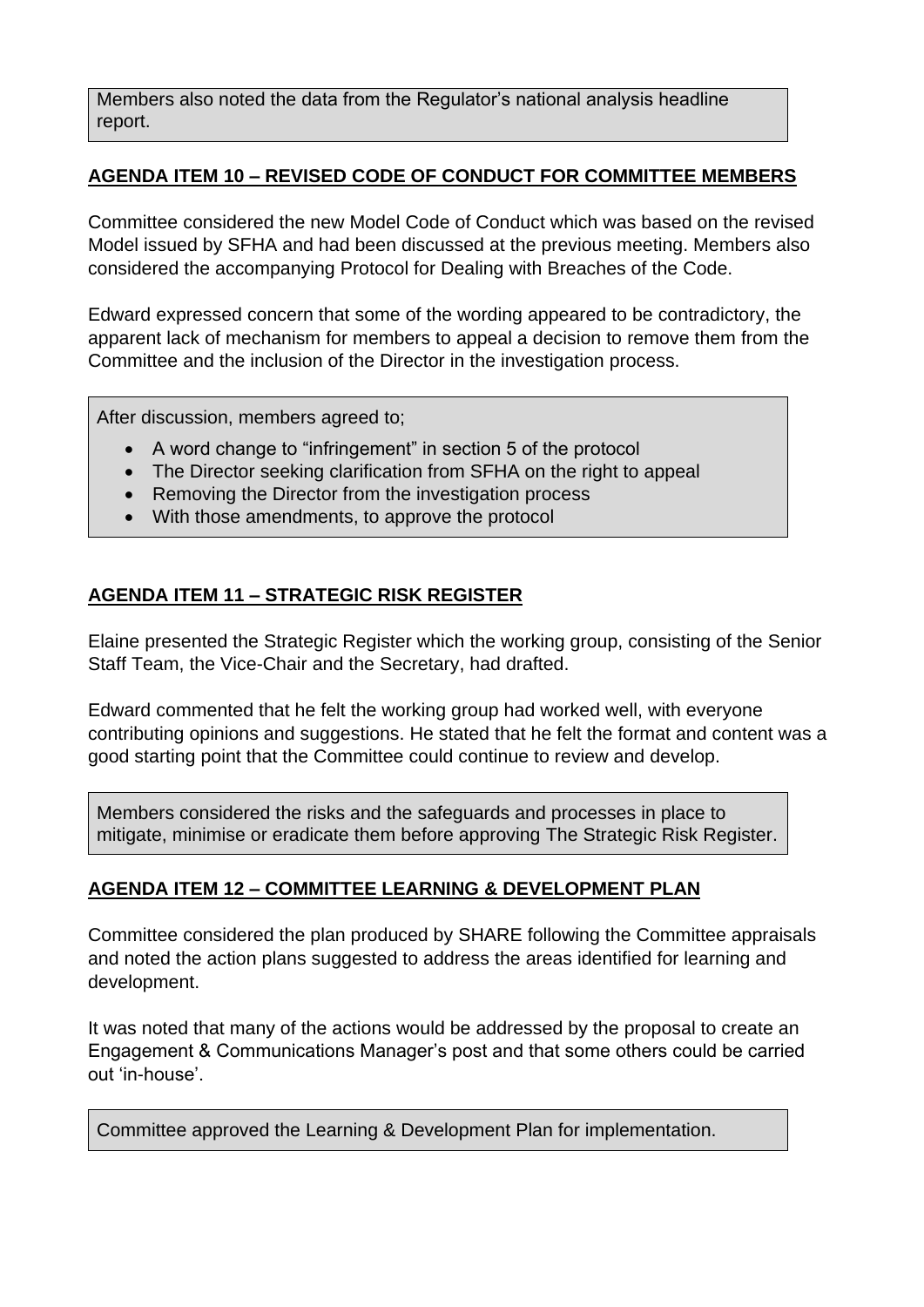Members also noted the data from the Regulator's national analysis headline report.

## **AGENDA ITEM 10 – REVISED CODE OF CONDUCT FOR COMMITTEE MEMBERS**

Committee considered the new Model Code of Conduct which was based on the revised Model issued by SFHA and had been discussed at the previous meeting. Members also considered the accompanying Protocol for Dealing with Breaches of the Code.

Edward expressed concern that some of the wording appeared to be contradictory, the apparent lack of mechanism for members to appeal a decision to remove them from the Committee and the inclusion of the Director in the investigation process.

After discussion, members agreed to;

- A word change to "infringement" in section 5 of the protocol
- The Director seeking clarification from SFHA on the right to appeal
- Removing the Director from the investigation process
- With those amendments, to approve the protocol

# **AGENDA ITEM 11 – STRATEGIC RISK REGISTER**

Elaine presented the Strategic Register which the working group, consisting of the Senior Staff Team, the Vice-Chair and the Secretary, had drafted.

Edward commented that he felt the working group had worked well, with everyone contributing opinions and suggestions. He stated that he felt the format and content was a good starting point that the Committee could continue to review and develop.

Members considered the risks and the safeguards and processes in place to mitigate, minimise or eradicate them before approving The Strategic Risk Register.

## **AGENDA ITEM 12 – COMMITTEE LEARNING & DEVELOPMENT PLAN**

Committee considered the plan produced by SHARE following the Committee appraisals and noted the action plans suggested to address the areas identified for learning and development.

It was noted that many of the actions would be addressed by the proposal to create an Engagement & Communications Manager's post and that some others could be carried out 'in-house'.

Committee approved the Learning & Development Plan for implementation.